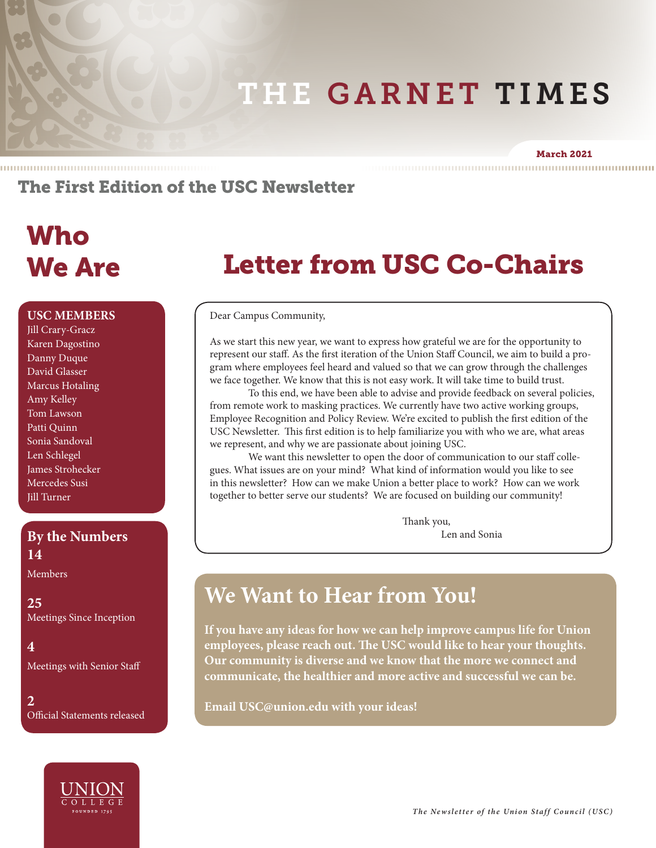# THE GARNET TIMES

#### March 2021

### The First Edition of the USC Newsletter

# Who We Are

#### **USC MEMBERS**

Jill Crary-Gracz Karen Dagostino Danny Duque David Glasser Marcus Hotaling Amy Kelley Tom Lawson Patti Quinn Sonia Sandoval Len Schlegel James Strohecker Mercedes Susi Jill Turner

### **By the Numbers** Len and Sonia **14**

Members

**25** Meetings Since Inception

**4** Meetings with Senior Staff

**2** Official Statements released



# Letter from USC Co-Chairs

Dear Campus Community,

As we start this new year, we want to express how grateful we are for the opportunity to represent our staff. As the first iteration of the Union Staff Council, we aim to build a program where employees feel heard and valued so that we can grow through the challenges we face together. We know that this is not easy work. It will take time to build trust.

To this end, we have been able to advise and provide feedback on several policies, from remote work to masking practices. We currently have two active working groups, Employee Recognition and Policy Review. We're excited to publish the first edition of the USC Newsletter. This first edition is to help familiarize you with who we are, what areas we represent, and why we are passionate about joining USC.

We want this newsletter to open the door of communication to our staff collegues. What issues are on your mind? What kind of information would you like to see in this newsletter? How can we make Union a better place to work? How can we work together to better serve our students? We are focused on building our community!

Thank you,

### **We Want to Hear from You!**

**If you have any ideas for how we can help improve campus life for Union employees, please reach out. The USC would like to hear your thoughts. Our community is diverse and we know that the more we connect and communicate, the healthier and more active and successful we can be.** 

**Email USC@union.edu with your ideas!**